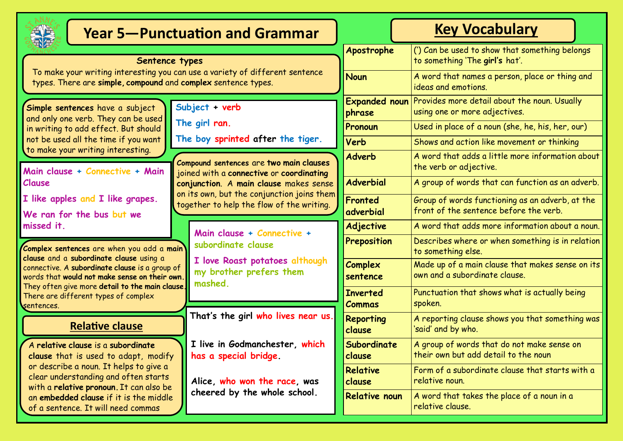

# **Year 5—Punctuation and Grammar Key Vocabulary**

#### **Subject + verb The girl ran. The boy sprinted after the tiger. Sentence types** To make your writing interesting you can use a variety of different sentence types. There are **simple, compound** and **complex** sentence types. A **relative clause** is a **subordinate clause** that is used to adapt, modify or describe a noun. It helps to give a clear understanding and often starts with a **relative pronoun.** It can also be **Simple sentences** have a subject and only one verb. They can be used in writing to add effect. But should not be used all the time if you want to make your writing interesting. **Compound sentences** are **two main clauses**  joined with a **connective** or **coordinating conjunction**. A **main clause** makes sense on its own, but the conjunction joins them together to help the flow of the writing. **Main clause + Connective + Main Clause I like apples and I like grapes. We ran for the bus but we missed it. Complex sentences** are when you add a **main clause** and a **subordinate clause** using a connective. A **subordinate clause** is a group of words that **would not make sense on their own.**  They often give more **detail to the main clause.**  There are different types of complex sentences. **Main clause + Connective + subordinate clause I love Roast potatoes although my brother prefers them mashed. Relative clause That's the girl who lives near us. I live in Godmanchester, which has a special bridge. Alice, who won the race, was**

**cheered by the whole school.**

an **embedded clause** if it is the middle of a sentence. It will need commas

|                                  | <b>ICY VULANUIAI Y</b>                                                                    |  |  |  |
|----------------------------------|-------------------------------------------------------------------------------------------|--|--|--|
| Apostrophe                       | (') Can be used to show that something belongs<br>to something 'The girl's hat'.          |  |  |  |
| <b>Noun</b>                      | A word that names a person, place or thing and<br>ideas and emotions.                     |  |  |  |
| <b>Expanded noun</b><br>phrase   | Provides more detail about the noun. Usually<br>using one or more adjectives.             |  |  |  |
| Pronoun                          | Used in place of a noun (she, he, his, her, our)                                          |  |  |  |
| Verb                             | Shows and action like movement or thinking                                                |  |  |  |
| <b>Adverb</b>                    | A word that adds a little more information about<br>the verb or adjective.                |  |  |  |
| <b>Adverbial</b>                 | A group of words that can function as an adverb.                                          |  |  |  |
| Fronted<br>adverbial             | Group of words functioning as an adverb, at the<br>front of the sentence before the verb. |  |  |  |
| Adjective                        | A word that adds more information about a noun.                                           |  |  |  |
| Preposition                      | Describes where or when something is in relation<br>to something else.                    |  |  |  |
| Complex<br>sentence              | Made up of a main clause that makes sense on its<br>own and a subordinate clause.         |  |  |  |
| <b>Inverted</b><br><b>Commas</b> | Punctuation that shows what is actually being<br>spoken.                                  |  |  |  |
| <b>Reporting</b><br>clause       | A reporting clause shows you that something was<br>'said' and by who.                     |  |  |  |
| Subordinate<br>clause            | A group of words that do not make sense on<br>their own but add detail to the noun        |  |  |  |
| Relative<br>clause               | Form of a subordinate clause that starts with a<br>relative noun.                         |  |  |  |
| <b>Relative noun</b>             | A word that takes the place of a noun in a<br>relative clause.                            |  |  |  |